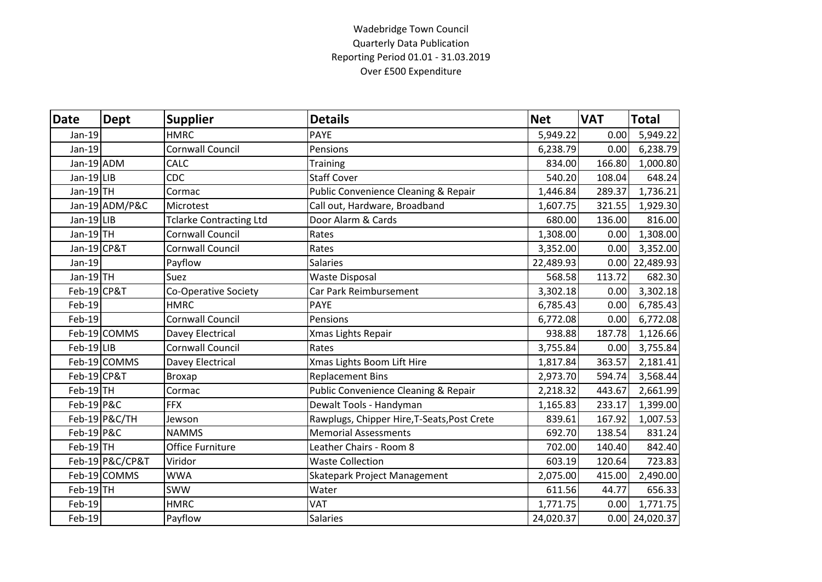## Wadebridge Town Council Quarterly Data Publication Reporting Period 01.01 - 31.03.2019 Over £500 Expenditure

| <b>Date</b>           | <b>Dept</b>     | <b>Supplier</b>                | <b>Details</b>                              | <b>Net</b> | <b>VAT</b> | <b>Total</b>     |
|-----------------------|-----------------|--------------------------------|---------------------------------------------|------------|------------|------------------|
| $Jan-19$              |                 | <b>HMRC</b>                    | <b>PAYE</b>                                 | 5,949.22   | 0.00       | 5,949.22         |
| $Jan-19$              |                 | <b>Cornwall Council</b>        | Pensions                                    | 6,238.79   | 0.00       | 6,238.79         |
| Jan-19 ADM            |                 | CALC                           | <b>Training</b>                             | 834.00     | 166.80     | 1,000.80         |
| Jan-19 LIB            |                 | <b>CDC</b>                     | <b>Staff Cover</b>                          | 540.20     | 108.04     | 648.24           |
| Jan-19 TH             |                 | Cormac                         | Public Convenience Cleaning & Repair        | 1,446.84   | 289.37     | 1,736.21         |
|                       | Jan-19 ADM/P&C  | Microtest                      | Call out, Hardware, Broadband               | 1,607.75   | 321.55     | 1,929.30         |
| Jan-19 LIB            |                 | <b>Tclarke Contracting Ltd</b> | Door Alarm & Cards                          | 680.00     | 136.00     | 816.00           |
| Jan-19 $TH$           |                 | Cornwall Council               | Rates                                       | 1,308.00   | 0.00       | 1,308.00         |
| Jan-19 CP&T           |                 | Cornwall Council               | Rates                                       | 3,352.00   | 0.00       | 3,352.00         |
| Jan-19                |                 | Payflow                        | <b>Salaries</b>                             | 22,489.93  |            | 0.00 22,489.93   |
| Jan-19 $TH$           |                 | Suez                           | <b>Waste Disposal</b>                       | 568.58     | 113.72     | 682.30           |
| Feb-19 CP&T           |                 | Co-Operative Society           | Car Park Reimbursement                      | 3,302.18   | 0.00       | 3,302.18         |
| Feb-19                |                 | <b>HMRC</b>                    | <b>PAYE</b>                                 | 6,785.43   | 0.00       | 6,785.43         |
| Feb-19                |                 | <b>Cornwall Council</b>        | Pensions                                    | 6,772.08   | 0.00       | 6,772.08         |
|                       | Feb-19 COMMS    | Davey Electrical               | Xmas Lights Repair                          | 938.88     | 187.78     | 1,126.66         |
| Feb-19 LIB            |                 | Cornwall Council               | Rates                                       | 3,755.84   | 0.00       | 3,755.84         |
|                       | Feb-19 COMMS    | Davey Electrical               | Xmas Lights Boom Lift Hire                  | 1,817.84   | 363.57     | 2,181.41         |
| Feb-19 CP&T           |                 | <b>Broxap</b>                  | <b>Replacement Bins</b>                     | 2,973.70   | 594.74     | 3,568.44         |
| $Feb-19$ TH           |                 | Cormac                         | Public Convenience Cleaning & Repair        | 2,218.32   | 443.67     | 2,661.99         |
| $Feb-19$ P&C          |                 | <b>FFX</b>                     | Dewalt Tools - Handyman                     | 1,165.83   | 233.17     | 1,399.00         |
|                       | $Feb-19$ P&C/TH | Jewson                         | Rawplugs, Chipper Hire, T-Seats, Post Crete | 839.61     | 167.92     | 1,007.53         |
| <b>Feb-19 P&amp;C</b> |                 | <b>NAMMS</b>                   | <b>Memorial Assessments</b>                 | 692.70     | 138.54     | 831.24           |
| Feb-19TH              |                 | <b>Office Furniture</b>        | Leather Chairs - Room 8                     | 702.00     | 140.40     | 842.40           |
|                       | Feb-19 P&C/CP&T | Viridor                        | <b>Waste Collection</b>                     | 603.19     | 120.64     | 723.83           |
|                       | Feb-19 COMMS    | <b>WWA</b>                     | Skatepark Project Management                | 2,075.00   | 415.00     | 2,490.00         |
| $Feb-19$ TH           |                 | SWW                            | Water                                       | 611.56     | 44.77      | 656.33           |
| Feb-19                |                 | <b>HMRC</b>                    | VAT                                         | 1,771.75   | 0.00       | 1,771.75         |
| Feb-19                |                 | Payflow                        | <b>Salaries</b>                             | 24,020.37  |            | $0.00$ 24,020.37 |